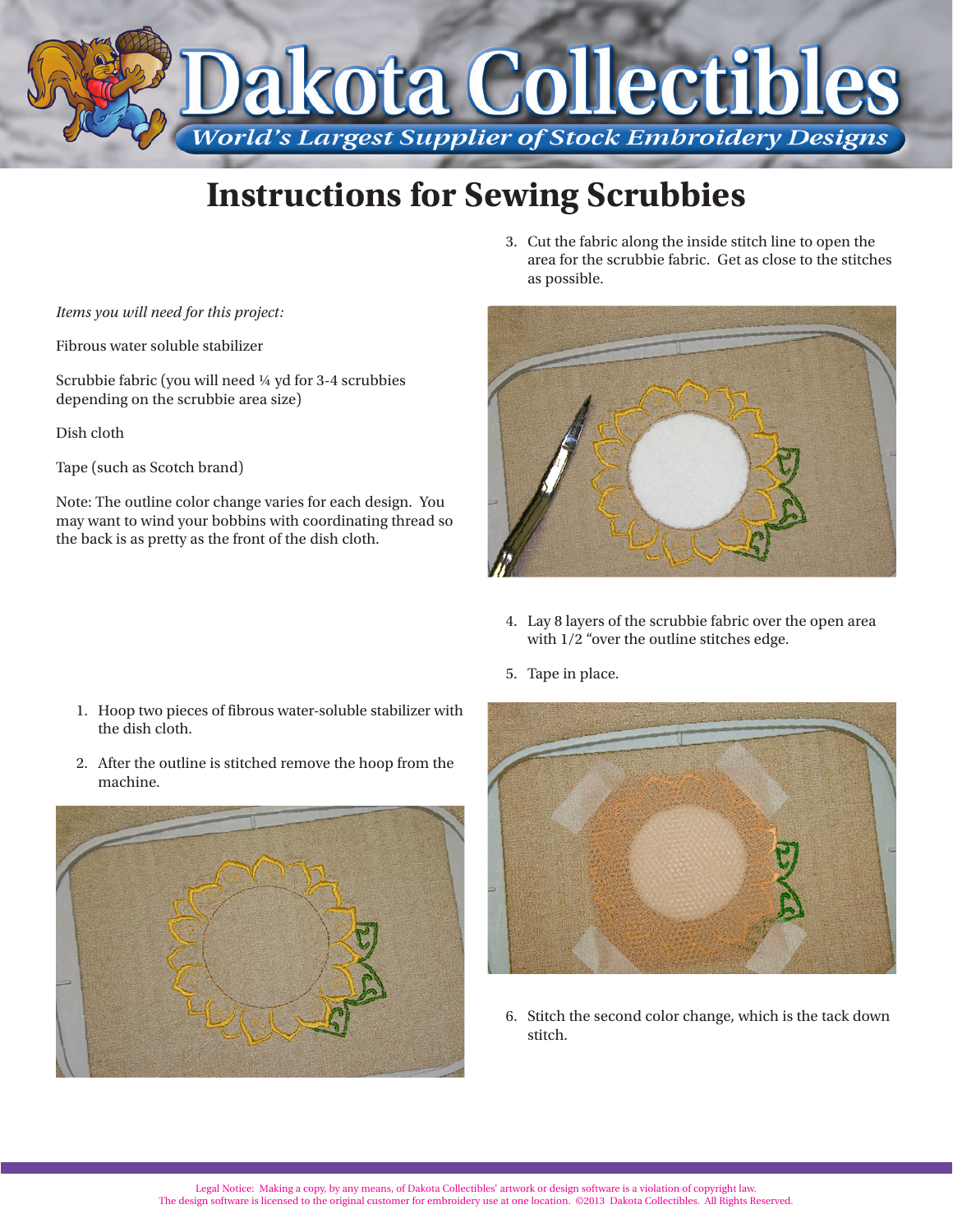

## **Instructions for Sewing Scrubbies**

*Items you will need for this project:*

Fibrous water soluble stabilizer

Scrubbie fabric (you will need ¼ yd for 3-4 scrubbies depending on the scrubbie area size)

Dish cloth

Tape (such as Scotch brand)

Note: The outline color change varies for each design. You may want to wind your bobbins with coordinating thread so the back is as pretty as the front of the dish cloth.

3. Cut the fabric along the inside stitch line to open the area for the scrubbie fabric. Get as close to the stitches as possible.



4. Lay 8 layers of the scrubbie fabric over the open area with 1/2 "over the outline stitches edge.

5. Tape in place.

- 1. Hoop two pieces of fibrous water-soluble stabilizer with the dish cloth.
- 2. After the outline is stitched remove the hoop from the machine.





6. Stitch the second color change, which is the tack down stitch.

Legal Notice: Making a copy, by any means, of Dakota Collectibles' artwork or design software is a violation of copyright law. The design software is licensed to the original customer for embroidery use at one location. ©2013 Dakota Collectibles. All Rights Reserved.